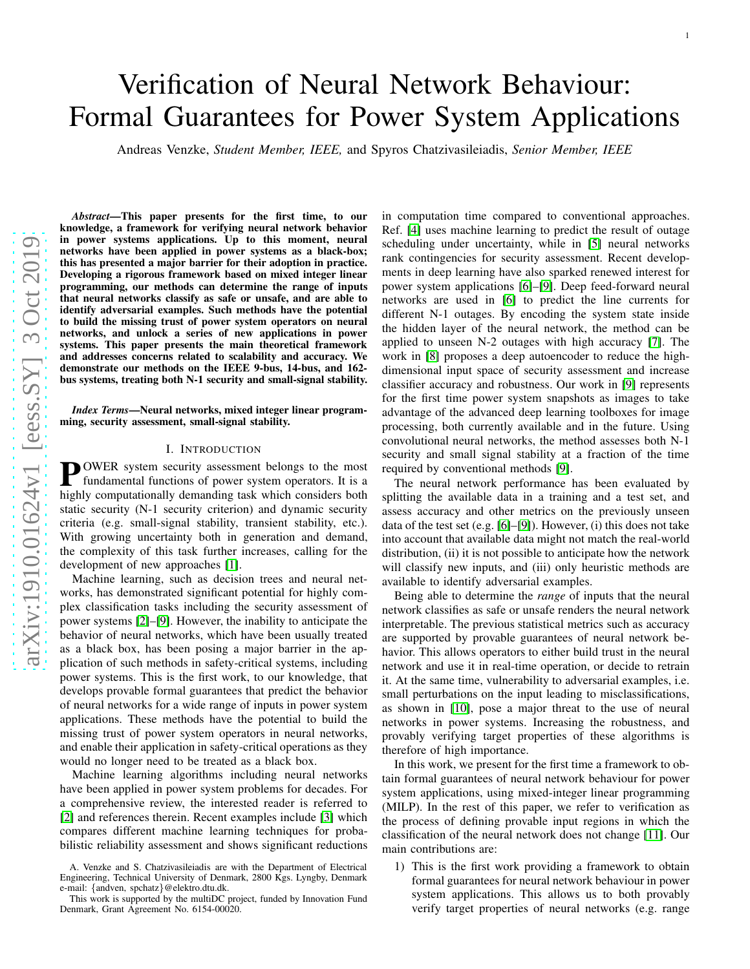# Verification of Neural Network Behaviour: Formal Guarantees for Power System Applications

Andreas Venzke, *Student Member, IEEE,* and Spyros Chatzivasileiadis, *Senior Member, IEEE*

arXiv:1910.01624v1 [eess.SY] 3 Oct 2019 [arXiv:1910.01624v1 \[eess.SY\] 3 Oct 2019](http://arxiv.org/abs/1910.01624v1)

*Abstract*—This paper presents for the first time, to our knowledge, a framework for verifying neural network behavior in power systems applications. Up to this moment, neural networks have been applied in power systems as a black-box; this has presented a major barrier for their adoption in practice. Developing a rigorous framework based on mixed integer linear programming, our methods can determine the range of inputs that neural networks classify as safe or unsafe, and are able to identify adversarial examples. Such methods have the potential to build the missing trust of power system operators on neura l networks, and unlock a series of new applications in power systems. This paper presents the main theoretical framewor k and addresses concerns related to scalability and accuracy. We demonstrate our methods on the IEEE 9-bus, 14-bus, and 162 bus systems, treating both N-1 security and small-signal stability.

#### *Index Terms*—Neural networks, mixed integer linear programming, security assessment, small-signal stability.

# I. INTRODUCTION

**POWER** system security assessment belongs to the most<br>fundamental functions of power system operators. It is a<br>highly computationally demonding took which considers both fundamental functions of power system operators. It is a highly computationally demanding task which considers bot h static security (N-1 security criterion) and dynamic security criteria (e.g. small-signal stability, transient stability, etc.). With growing uncertainty both in generation and demand, the complexity of this task further increases, calling for the development of new approaches [\[1\]](#page-7-0).

Machine learning, such as decision trees and neural networks, has demonstrated significant potential for highly complex classification tasks including the security assessment of power systems [\[2\]](#page-7-1)–[\[9\]](#page-7-2). However, the inability to anticipate the behavior of neural networks, which have been usually treate d as a black box, has been posing a major barrier in the application of such methods in safety-critical systems, including power systems. This is the first work, to our knowledge, that develops provable formal guarantees that predict the behavior of neural networks for a wide range of inputs in power system applications. These methods have the potential to build the missing trust of power system operators in neural networks, and enable their application in safety-critical operations as they would no longer need to be treated as a black box.

Machine learning algorithms including neural networks have been applied in power system problems for decades. For a comprehensive review, the interested reader is referred to [\[2\]](#page-7-1) and references therein. Recent examples include [\[3\]](#page-7-3) which compares different machine learning techniques for probabilistic reliability assessment and shows significant reductions

This work is supported by the multiDC project, funded by Innovation Fund Denmark, Grant Agreement No. 6154-00020.

in computation time compared to conventional approaches. Ref. [\[4\]](#page-7-4) uses machine learning to predict the result of outag e scheduling under uncertainty, while in [\[5\]](#page-7-5) neural networks rank contingencies for security assessment. Recent developments in deep learning have also sparked renewed interest for power system applications [\[6\]](#page-7-6)–[\[9\]](#page-7-2). Deep feed-forward neural networks are used in [\[6\]](#page-7-6) to predict the line currents for different N-1 outages. By encoding the system state inside the hidden layer of the neural network, the method can be applied to unseen N-2 outages with high accuracy [\[7\]](#page-7-7). The work in [\[8\]](#page-7-8) proposes a deep autoencoder to reduce the highdimensional input space of security assessment and increase classifier accuracy and robustness. Our work in [\[9\]](#page-7-2) represents for the first time power system snapshots as images to take advantage of the advanced deep learning toolboxes for image processing, both currently available and in the future. Using convolutional neural networks, the method assesses both N-1 security and small signal stability at a fraction of the time required by conventional methods [\[9\]](#page-7-2).

1

The neural network performance has been evaluated by splitting the available data in a training and a test set, and assess accuracy and other metrics on the previously unseen data of the test set (e.g. [\[6\]](#page-7-6)–[\[9\]](#page-7-2)). However, (i) this does not take into account that available data might not match the real-world distribution, (ii) it is not possible to anticipate how the network will classify new inputs, and (iii) only heuristic methods are available to identify adversarial examples.

Being able to determine the *range* of inputs that the neural network classifies as safe or unsafe renders the neural network interpretable. The previous statistical metrics such as accuracy are supported by provable guarantees of neural network behavior. This allows operators to either build trust in the neural network and use it in real-time operation, or decide to retrain it. At the same time, vulnerability to adversarial examples, i.e. small perturbations on the input leading to misclassifications, as shown in [\[10\]](#page-7-9), pose a major threat to the use of neural networks in power systems. Increasing the robustness, and provably verifying target properties of these algorithms i s therefore of high importance.

In this work, we present for the first time a framework to obtain formal guarantees of neural network behaviour for power system applications, using mixed-integer linear programming (MILP). In the rest of this paper, we refer to verification as the process of defining provable input regions in which the classification of the neural network does not change [\[11\]](#page-7-10). Ou r main contributions are:

1) This is the first work providing a framework to obtain formal guarantees for neural network behaviour in power system applications. This allows us to both provably verify target properties of neural networks (e.g. range

A. Venzke and S. Chatzivasileiadis are with the Department of Electrical Engineering, Technical University of Denmark, 2800 Kgs. Lyngby, Denmark e-mail: {andven, spchatz }@elektro.dtu.dk.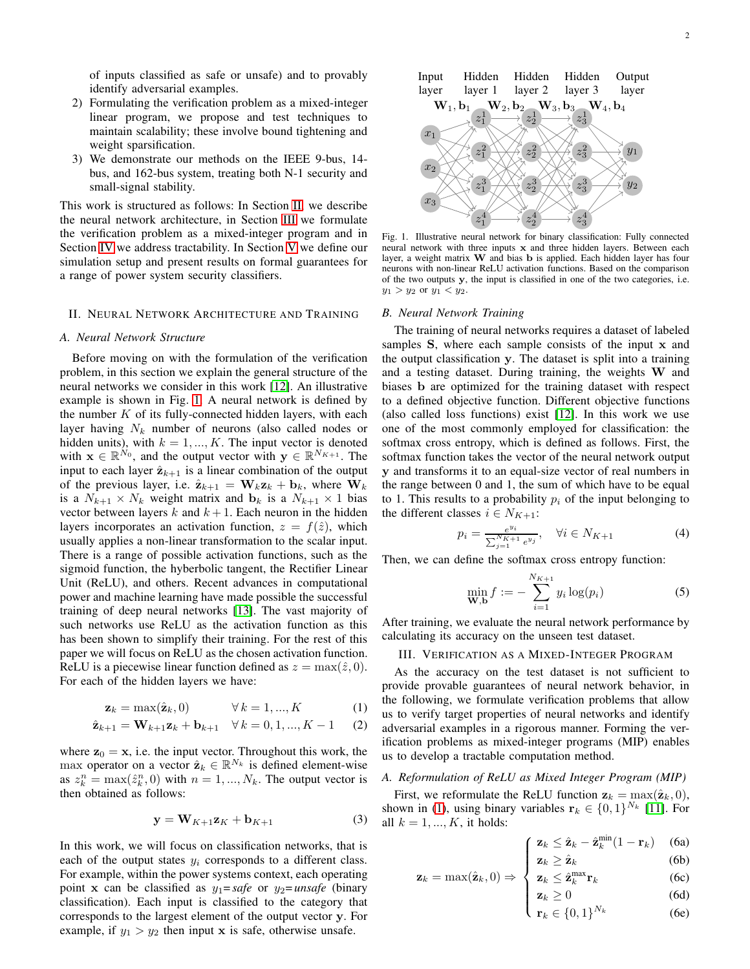of inputs classified as safe or unsafe) and to provably identify adversarial examples.

- 2) Formulating the verification problem as a mixed-integer linear program, we propose and test techniques to maintain scalability; these involve bound tightening and weight sparsification.
- 3) We demonstrate our methods on the IEEE 9-bus, 14 bus, and 162-bus system, treating both N-1 security and small-signal stability.

This work is structured as follows: In Section [II,](#page-1-0) we describe the neural network architecture, in Section [III](#page-1-1) we formulate the verification problem as a mixed-integer program and in Section [IV](#page-2-0) we address tractability. In Section [V](#page-3-0) we define our simulation setup and present results on formal guarantees for a range of power system security classifiers.

## <span id="page-1-0"></span>II. NEURAL NETWORK ARCHITECTURE AND TRAINING

#### *A. Neural Network Structure*

Before moving on with the formulation of the verification problem, in this section we explain the general structure of the neural networks we consider in this work [\[12\]](#page-7-11). An illustrative example is shown in Fig. [1.](#page-1-2) A neural network is defined by the number  $K$  of its fully-connected hidden layers, with each layer having  $N_k$  number of neurons (also called nodes or hidden units), with  $k = 1, ..., K$ . The input vector is denoted with  $\mathbf{x} \in \mathbb{R}^{N_0}$ , and the output vector with  $\mathbf{y} \in \mathbb{R}^{N_{K+1}}$ . The input to each layer  $\hat{\mathbf{z}}_{k+1}$  is a linear combination of the output of the previous layer, i.e.  $\hat{\mathbf{z}}_{k+1} = \mathbf{W}_k \mathbf{z}_k + \mathbf{b}_k$ , where  $\mathbf{W}_k$ is a  $N_{k+1} \times N_k$  weight matrix and  $\mathbf{b}_k$  is a  $N_{k+1} \times 1$  bias vector between layers k and  $k + 1$ . Each neuron in the hidden layers incorporates an activation function,  $z = f(\hat{z})$ , which usually applies a non-linear transformation to the scalar input. There is a range of possible activation functions, such as the sigmoid function, the hyberbolic tangent, the Rectifier Linear Unit (ReLU), and others. Recent advances in computational power and machine learning have made possible the successful training of deep neural networks [\[13\]](#page-7-12). The vast majority of such networks use ReLU as the activation function as this has been shown to simplify their training. For the rest of this paper we will focus on ReLU as the chosen activation function. ReLU is a piecewise linear function defined as  $z = \max(\hat{z}, 0)$ . For each of the hidden layers we have:

$$
\mathbf{z}_k = \max(\hat{\mathbf{z}}_k, 0) \qquad \forall k = 1, ..., K \qquad (1)
$$

$$
\hat{\mathbf{z}}_{k+1} = \mathbf{W}_{k+1} \mathbf{z}_k + \mathbf{b}_{k+1} \quad \forall k = 0, 1, ..., K - 1 \quad (2)
$$

where  $z_0 = x$ , i.e. the input vector. Throughout this work, the max operator on a vector  $\hat{\mathbf{z}}_k \in \mathbb{R}^{N_k}$  is defined element-wise as  $z_k^n = \max(\hat{z}_k^n, 0)$  with  $n = 1, ..., N_k$ . The output vector is then obtained as follows:

$$
\mathbf{y} = \mathbf{W}_{K+1} \mathbf{z}_K + \mathbf{b}_{K+1} \tag{3}
$$

In this work, we will focus on classification networks, that is each of the output states  $y_i$  corresponds to a different class. For example, within the power systems context, each operating point x can be classified as  $y_1 = safe$  or  $y_2 = unsafe$  (binary classification). Each input is classified to the category that corresponds to the largest element of the output vector y. For example, if  $y_1 > y_2$  then input x is safe, otherwise unsafe.



<span id="page-1-2"></span>Fig. 1. Illustrative neural network for binary classification: Fully connected neural network with three inputs x and three hidden layers. Between each layer, a weight matrix  $W$  and bias  $b$  is applied. Each hidden layer has four neurons with non-linear ReLU activation functions. Based on the comparison of the two outputs y, the input is classified in one of the two categories, i.e.  $y_1 > y_2$  or  $y_1 < y_2$ .

## *B. Neural Network Training*

The training of neural networks requires a dataset of labeled samples S, where each sample consists of the input x and the output classification y. The dataset is split into a training and a testing dataset. During training, the weights W and biases b are optimized for the training dataset with respect to a defined objective function. Different objective functions (also called loss functions) exist [\[12\]](#page-7-11). In this work we use one of the most commonly employed for classification: the softmax cross entropy, which is defined as follows. First, the softmax function takes the vector of the neural network output y and transforms it to an equal-size vector of real numbers in the range between 0 and 1, the sum of which have to be equal to 1. This results to a probability  $p_i$  of the input belonging to the different classes  $i \in N_{K+1}$ :

$$
p_i = \frac{e^{y_i}}{\sum_{j=1}^{N_{K+1}} e^{y_j}}, \quad \forall i \in N_{K+1}
$$
 (4)

Then, we can define the softmax cross entropy function:

<span id="page-1-7"></span>
$$
\min_{\mathbf{W}, \mathbf{b}} f := -\sum_{i=1}^{N_{K+1}} y_i \log(p_i)
$$
 (5)

After training, we evaluate the neural network performance by calculating its accuracy on the unseen test dataset.

## <span id="page-1-1"></span>III. VERIFICATION AS A MIXED-INTEGER PROGRAM

<span id="page-1-5"></span><span id="page-1-3"></span>As the accuracy on the test dataset is not sufficient to provide provable guarantees of neural network behavior, in the following, we formulate verification problems that allow us to verify target properties of neural networks and identify adversarial examples in a rigorous manner. Forming the verification problems as mixed-integer programs (MIP) enables us to develop a tractable computation method.

#### *A. Reformulation of ReLU as Mixed Integer Program (MIP)*

<span id="page-1-6"></span>First, we reformulate the ReLU function  $z_k = \max(\hat{z}_k, 0)$ , shown in [\(1\)](#page-1-3), using binary variables  $\mathbf{r}_k \in \{0,1\}^{N_k}$  [\[11\]](#page-7-10). For all  $k = 1, \dots, K$ , it holds:

$$
\int \mathbf{z}_k \leq \hat{\mathbf{z}}_k - \hat{\mathbf{z}}_k^{\min}(1 - \mathbf{r}_k) \quad \text{(6a)}
$$

$$
\begin{cases}\n\mathbf{z}_k \geq \hat{\mathbf{z}}_k & (6b) \\
\mathbf{z}_k < \hat{\sigma}^{\max} \mathbf{r}_k\n\end{cases}
$$
\n(6c)

<span id="page-1-4"></span>
$$
\mathbf{z}_k = \max(\hat{\mathbf{z}}_k, 0) \Rightarrow \begin{cases} \mathbf{z}_k \leq \hat{\mathbf{z}}_k^{\max} \mathbf{r}_k \end{cases}
$$
 (6c)

$$
\begin{cases} \n\mathbf{z}_k \ge 0 & (6d) \\ \n\mathbf{r}_k \in \{0, 1\}^{N_k} & (6e) \n\end{cases}
$$

$$
\mathbf{r}_k \in \{0, 1\}^{N_k} \tag{6e}
$$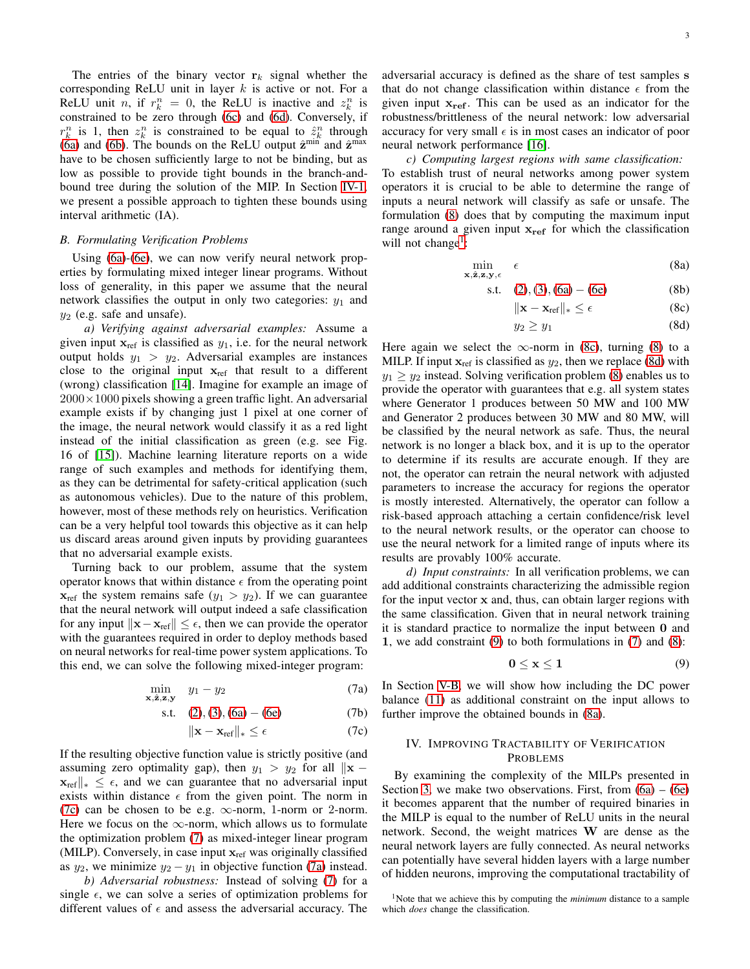The entries of the binary vector  $r_k$  signal whether the corresponding ReLU unit in layer  $k$  is active or not. For a ReLU unit *n*, if  $r_k^n = 0$ , the ReLU is inactive and  $z_k^n$  is constrained to be zero through [\(6c\)](#page-1-4) and [\(6d\)](#page-1-4). Conversely, if  $r_k^n$  is 1, then  $z_k^n$  is constrained to be equal to  $\hat{z}_k^n$  through [\(6a\)](#page-1-4) and [\(6b\)](#page-1-4). The bounds on the ReLU output  $\hat{z}^{\min}$  and  $\hat{z}^{\max}$ have to be chosen sufficiently large to not be binding, but as low as possible to provide tight bounds in the branch-andbound tree during the solution of the MIP. In Section [IV-1,](#page-3-1) we present a possible approach to tighten these bounds using interval arithmetic (IA).

## *B. Formulating Verification Problems*

Using [\(6a\)](#page-1-4)-[\(6e\)](#page-1-4), we can now verify neural network properties by formulating mixed integer linear programs. Without loss of generality, in this paper we assume that the neural network classifies the output in only two categories:  $y_1$  and  $y_2$  (e.g. safe and unsafe).

*a) Verifying against adversarial examples:* Assume a given input  $x_{ref}$  is classified as  $y_1$ , i.e. for the neural network output holds  $y_1 > y_2$ . Adversarial examples are instances close to the original input  $x_{ref}$  that result to a different (wrong) classification [\[14\]](#page-7-13). Imagine for example an image of  $2000\times1000$  pixels showing a green traffic light. An adversarial example exists if by changing just 1 pixel at one corner of the image, the neural network would classify it as a red light instead of the initial classification as green (e.g. see Fig. 16 of [\[15\]](#page-7-14)). Machine learning literature reports on a wide range of such examples and methods for identifying them, as they can be detrimental for safety-critical application (such as autonomous vehicles). Due to the nature of this problem, however, most of these methods rely on heuristics. Verification can be a very helpful tool towards this objective as it can help us discard areas around given inputs by providing guarantees that no adversarial example exists.

Turning back to our problem, assume that the system operator knows that within distance  $\epsilon$  from the operating point  $x_{ref}$  the system remains safe  $(y_1 > y_2)$ . If we can guarantee that the neural network will output indeed a safe classification for any input  $\|\mathbf{x}-\mathbf{x}_{ref}\| \leq \epsilon$ , then we can provide the operator with the guarantees required in order to deploy methods based on neural networks for real-time power system applications. To this end, we can solve the following mixed-integer program:

$$
\min_{\mathbf{x}, \hat{\mathbf{z}}, \mathbf{z}, \mathbf{y}} \quad y_1 - y_2 \tag{7a}
$$

s.t. 
$$
(2), (3), (6a) - (6e)
$$
 (7b)

$$
\|\mathbf{x} - \mathbf{x}_{\text{ref}}\|_{*} \leq \epsilon \tag{7c}
$$

If the resulting objective function value is strictly positive (and assuming zero optimality gap), then  $y_1 > y_2$  for all  $||\mathbf{x} \mathbf{x}_{\text{ref}} \|_{*} \leq \epsilon$ , and we can guarantee that no adversarial input exists within distance  $\epsilon$  from the given point. The norm in [\(7c\)](#page-2-1) can be chosen to be e.g.  $\infty$ -norm, 1-norm or 2-norm. Here we focus on the  $\infty$ -norm, which allows us to formulate the optimization problem [\(7\)](#page-2-2) as mixed-integer linear program (MILP). Conversely, in case input  $x_{ref}$  was originally classified as  $y_2$ , we minimize  $y_2 - y_1$  in objective function [\(7a\)](#page-2-3) instead.

*b) Adversarial robustness:* Instead of solving [\(7\)](#page-2-2) for a single  $\epsilon$ , we can solve a series of optimization problems for different values of  $\epsilon$  and assess the adversarial accuracy. The adversarial accuracy is defined as the share of test samples s that do not change classification within distance  $\epsilon$  from the given input  $x_{ref}$ . This can be used as an indicator for the robustness/brittleness of the neural network: low adversarial accuracy for very small  $\epsilon$  is in most cases an indicator of poor neural network performance [\[16\]](#page-7-15).

*c) Computing largest regions with same classification:* To establish trust of neural networks among power system operators it is crucial to be able to determine the range of inputs a neural network will classify as safe or unsafe. The formulation [\(8\)](#page-2-4) does that by computing the maximum input range around a given input  $x_{ref}$  for which the classification will not change<sup>[1](#page-2-5)</sup>:

<span id="page-2-4"></span>
$$
\min_{\mathbf{x}, \hat{\mathbf{z}}, \mathbf{z}, \mathbf{y}, \epsilon} \epsilon \tag{8a}
$$

s.t. 
$$
(2), (3), (6a) - (6e)
$$
 (8b)

<span id="page-2-9"></span><span id="page-2-6"></span>
$$
\|\mathbf{x} - \mathbf{x}_{\text{ref}}\|_{*} \leq \epsilon \tag{8c}
$$

<span id="page-2-7"></span>
$$
y_2 \ge y_1 \tag{8d}
$$

Here again we select the  $\infty$ -norm in [\(8c\)](#page-2-6), turning [\(8\)](#page-2-4) to a MILP. If input  $x_{ref}$  is classified as  $y_2$ , then we replace [\(8d\)](#page-2-7) with  $y_1 \ge y_2$  instead. Solving verification problem [\(8\)](#page-2-4) enables us to provide the operator with guarantees that e.g. all system states where Generator 1 produces between 50 MW and 100 MW and Generator 2 produces between 30 MW and 80 MW, will be classified by the neural network as safe. Thus, the neural network is no longer a black box, and it is up to the operator to determine if its results are accurate enough. If they are not, the operator can retrain the neural network with adjusted parameters to increase the accuracy for regions the operator is mostly interested. Alternatively, the operator can follow a risk-based approach attaching a certain confidence/risk level to the neural network results, or the operator can choose to use the neural network for a limited range of inputs where its results are provably 100% accurate.

*d) Input constraints:* In all verification problems, we can add additional constraints characterizing the admissible region for the input vector x and, thus, can obtain larger regions with the same classification. Given that in neural network training it is standard practice to normalize the input between 0 and 1, we add constraint [\(9\)](#page-2-8) to both formulations in [\(7\)](#page-2-2) and [\(8\)](#page-2-4):

<span id="page-2-8"></span>
$$
0 \leq x \leq 1 \tag{9}
$$

<span id="page-2-3"></span><span id="page-2-2"></span><span id="page-2-1"></span>In Section [V-B,](#page-3-2) we will show how including the DC power balance [\(11\)](#page-5-0) as additional constraint on the input allows to further improve the obtained bounds in [\(8a\)](#page-2-9).

# <span id="page-2-0"></span>IV. IMPROVING TRACTABILITY OF VERIFICATION PROBLEMS

By examining the complexity of the MILPs presented in Section [3,](#page-4-0) we make two observations. First, from  $(6a) - (6e)$  $(6a) - (6e)$ it becomes apparent that the number of required binaries in the MILP is equal to the number of ReLU units in the neural network. Second, the weight matrices W are dense as the neural network layers are fully connected. As neural networks can potentially have several hidden layers with a large number of hidden neurons, improving the computational tractability of

<span id="page-2-5"></span><sup>1</sup>Note that we achieve this by computing the *minimum* distance to a sample which *does* change the classification.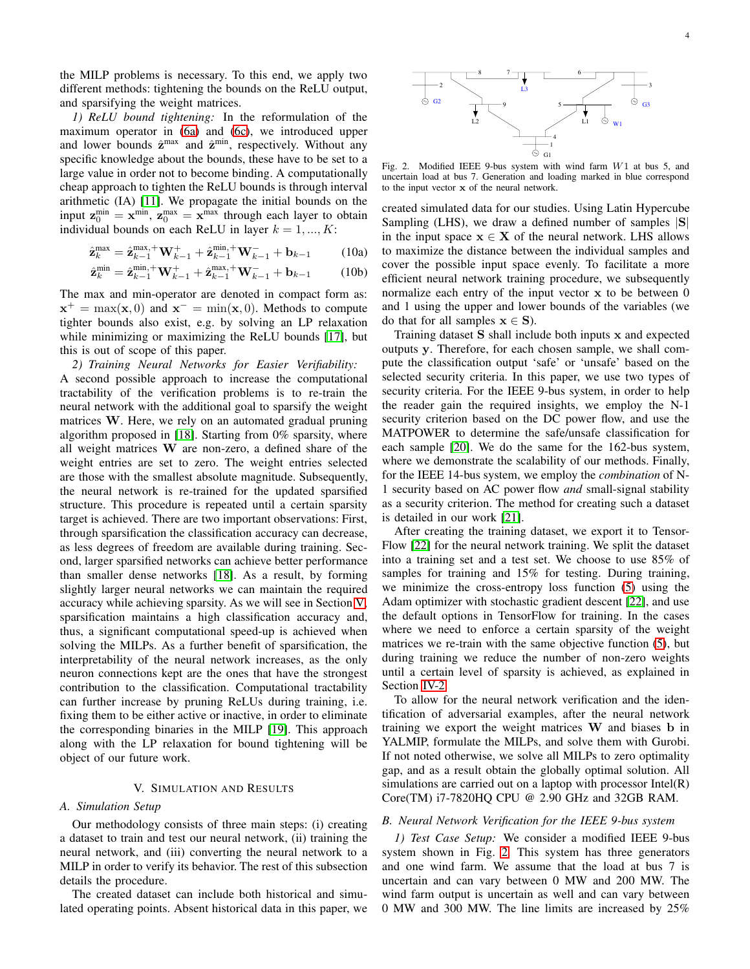the MILP problems is necessary. To this end, we apply two different methods: tightening the bounds on the ReLU output, and sparsifying the weight matrices.

<span id="page-3-1"></span>*1) ReLU bound tightening:* In the reformulation of the maximum operator in [\(6a\)](#page-1-4) and [\(6c\)](#page-1-4), we introduced upper and lower bounds  $\hat{z}^{max}$  and  $\hat{z}^{min}$ , respectively. Without any specific knowledge about the bounds, these have to be set to a large value in order not to become binding. A computationally cheap approach to tighten the ReLU bounds is through interval arithmetic (IA) [\[11\]](#page-7-10). We propagate the initial bounds on the input  $\mathbf{z}_0^{\text{min}} = \mathbf{x}^{\text{min}}$ ,  $\mathbf{z}_0^{\text{max}} = \mathbf{x}^{\text{max}}$  through each layer to obtain individual bounds on each ReLU in layer  $k = 1, ..., K$ :

$$
\hat{\mathbf{z}}_k^{\max} = \hat{\mathbf{z}}_{k-1}^{\max, +} \mathbf{W}_{k-1}^+ + \hat{\mathbf{z}}_{k-1}^{\min, +} \mathbf{W}_{k-1}^- + \mathbf{b}_{k-1}
$$
 (10a)

$$
\hat{\mathbf{z}}_k^{\min} = \hat{\mathbf{z}}_{k-1}^{\min, +} \mathbf{W}_{k-1}^+ + \hat{\mathbf{z}}_{k-1}^{\max, +} \mathbf{W}_{k-1}^- + \mathbf{b}_{k-1}
$$
 (10b)

The max and min-operator are denoted in compact form as:  $\mathbf{x}^+ = \max(\mathbf{x}, 0)$  and  $\mathbf{x}^- = \min(\mathbf{x}, 0)$ . Methods to compute tighter bounds also exist, e.g. by solving an LP relaxation while minimizing or maximizing the ReLU bounds [\[17\]](#page-7-16), but this is out of scope of this paper.

<span id="page-3-3"></span>*2) Training Neural Networks for Easier Verifiability:* A second possible approach to increase the computational tractability of the verification problems is to re-train the neural network with the additional goal to sparsify the weight matrices W. Here, we rely on an automated gradual pruning algorithm proposed in [\[18\]](#page-7-17). Starting from 0% sparsity, where all weight matrices W are non-zero, a defined share of the weight entries are set to zero. The weight entries selected are those with the smallest absolute magnitude. Subsequently, the neural network is re-trained for the updated sparsified structure. This procedure is repeated until a certain sparsity target is achieved. There are two important observations: First, through sparsification the classification accuracy can decrease, as less degrees of freedom are available during training. Second, larger sparsified networks can achieve better performance than smaller dense networks [\[18\]](#page-7-17). As a result, by forming slightly larger neural networks we can maintain the required accuracy while achieving sparsity. As we will see in Section [V,](#page-3-0) sparsification maintains a high classification accuracy and, thus, a significant computational speed-up is achieved when solving the MILPs. As a further benefit of sparsification, the interpretability of the neural network increases, as the only neuron connections kept are the ones that have the strongest contribution to the classification. Computational tractability can further increase by pruning ReLUs during training, i.e. fixing them to be either active or inactive, in order to eliminate the corresponding binaries in the MILP [\[19\]](#page-7-18). This approach along with the LP relaxation for bound tightening will be object of our future work.

# V. SIMULATION AND RESULTS

# <span id="page-3-0"></span>*A. Simulation Setup*

Our methodology consists of three main steps: (i) creating a dataset to train and test our neural network, (ii) training the neural network, and (iii) converting the neural network to a MILP in order to verify its behavior. The rest of this subsection details the procedure.

The created dataset can include both historical and simulated operating points. Absent historical data in this paper, we



<span id="page-3-4"></span>Fig. 2. Modified IEEE 9-bus system with wind farm W1 at bus 5, and uncertain load at bus 7. Generation and loading marked in blue correspond to the input vector x of the neural network.

<span id="page-3-5"></span>created simulated data for our studies. Using Latin Hypercube Sampling (LHS), we draw a defined number of samples  $|S|$ in the input space  $x \in X$  of the neural network. LHS allows to maximize the distance between the individual samples and cover the possible input space evenly. To facilitate a more efficient neural network training procedure, we subsequently normalize each entry of the input vector  $x$  to be between  $0$ and 1 using the upper and lower bounds of the variables (we do that for all samples  $x \in S$ ).

Training dataset S shall include both inputs x and expected outputs y. Therefore, for each chosen sample, we shall compute the classification output 'safe' or 'unsafe' based on the selected security criteria. In this paper, we use two types of security criteria. For the IEEE 9-bus system, in order to help the reader gain the required insights, we employ the N-1 security criterion based on the DC power flow, and use the MATPOWER to determine the safe/unsafe classification for each sample [\[20\]](#page-7-19). We do the same for the 162-bus system, where we demonstrate the scalability of our methods. Finally, for the IEEE 14-bus system, we employ the *combination* of N-1 security based on AC power flow *and* small-signal stability as a security criterion. The method for creating such a dataset is detailed in our work [\[21\]](#page-7-20).

After creating the training dataset, we export it to Tensor-Flow [\[22\]](#page-7-21) for the neural network training. We split the dataset into a training set and a test set. We choose to use 85% of samples for training and 15% for testing. During training, we minimize the cross-entropy loss function [\(5\)](#page-1-7) using the Adam optimizer with stochastic gradient descent [\[22\]](#page-7-21), and use the default options in TensorFlow for training. In the cases where we need to enforce a certain sparsity of the weight matrices we re-train with the same objective function [\(5\)](#page-1-7), but during training we reduce the number of non-zero weights until a certain level of sparsity is achieved, as explained in Section [IV-2.](#page-3-3)

To allow for the neural network verification and the identification of adversarial examples, after the neural network training we export the weight matrices W and biases b in YALMIP, formulate the MILPs, and solve them with Gurobi. If not noted otherwise, we solve all MILPs to zero optimality gap, and as a result obtain the globally optimal solution. All simulations are carried out on a laptop with processor Intel(R) Core(TM) i7-7820HQ CPU @ 2.90 GHz and 32GB RAM.

# <span id="page-3-2"></span>*B. Neural Network Verification for the IEEE 9-bus system*

*1) Test Case Setup:* We consider a modified IEEE 9-bus system shown in Fig. [2.](#page-3-4) This system has three generators and one wind farm. We assume that the load at bus 7 is uncertain and can vary between 0 MW and 200 MW. The wind farm output is uncertain as well and can vary between 0 MW and 300 MW. The line limits are increased by 25%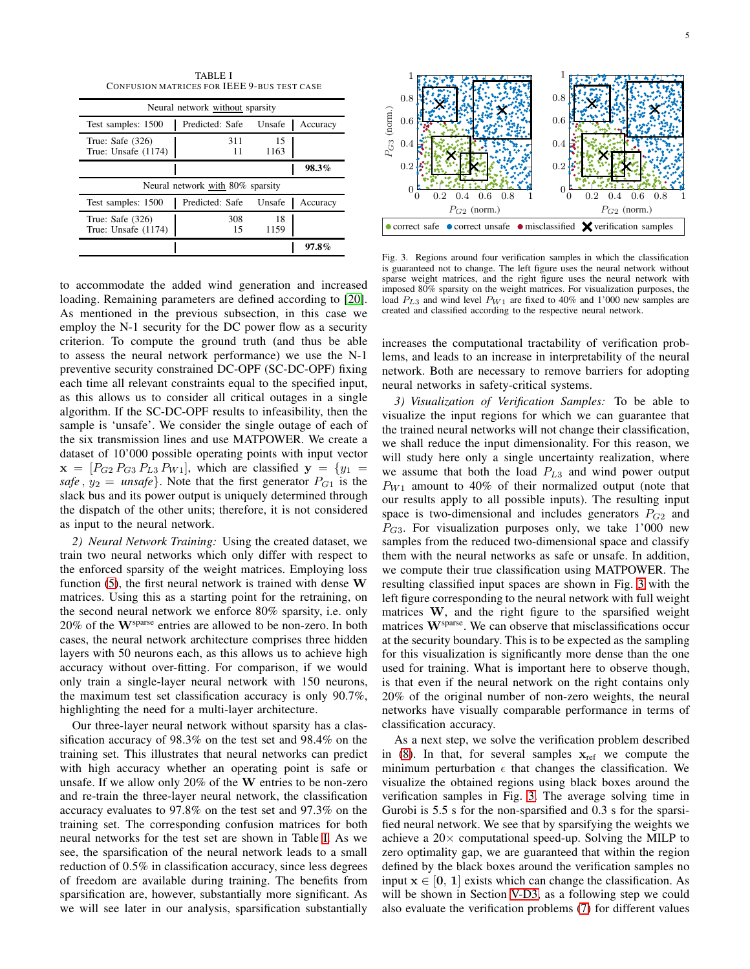TABLE I CONFUS ION MATRICES FOR IEEE 9-BUS TEST CASE

<span id="page-4-1"></span>

| Neural network without sparsity           |                 |            |          |  |
|-------------------------------------------|-----------------|------------|----------|--|
| Test samples: 1500                        | Predicted: Safe | Unsafe     | Accuracy |  |
| True: Safe $(326)$<br>True: Unsafe (1174) | 311<br>11       | 15<br>1163 |          |  |
|                                           |                 |            | 98.3%    |  |
| Neural network with 80% sparsity          |                 |            |          |  |
| Test samples: 1500                        | Predicted: Safe | Unsafe     | Accuracy |  |
|                                           | 308             | 18         |          |  |
| True: Safe $(326)$<br>True: Unsafe (1174) | 15              | 1159       |          |  |

to accommodate the added wind generation and increased loading. Remaining parameters are defined according to [\[20\]](#page-7-19). As mentioned in the previous subsection, in this case we employ the N-1 security for the DC power flow as a security criterion. To compute the ground truth (and thus be able to assess the neural network performance) we use the N-1 preventive security constrained DC-OPF (SC-DC-OPF) fixing each time all relevant constraints equal to the specified input, as this allows us to consider all critical outages in a single algorithm. If the SC-DC-OPF results to infeasibility, then the sample is 'unsafe'. We consider the single outage of each of the six transmission lines and use MATPOWER. We create a dataset of 10'000 possible operating points with input vector  $\mathbf{x} = [P_{G2} P_{G3} P_{L3} P_{W1}]$ , which are classified  $\mathbf{y} = \{y_1 =$ *safe*,  $y_2 =$  *unsafe*}. Note that the first generator  $P_{G_1}$  is the slack bus and its power output is uniquely determined through the dispatch of the other units; therefore, it is not considered as input to the neural network.

*2) Neural Network Training:* Using the created dataset, we train two neural networks which only differ with respect to the enforced sparsity of the weight matrices. Employing loss function  $(5)$ , the first neural network is trained with dense W matrices. Using this as a starting point for the retraining, on the second neural network we enforce 80% sparsity, i.e. only 20% of the Wsparse entries are allowed to be non-zero. In both cases, the neural network architecture comprises three hidden layers with 50 neurons each, as this allows us to achieve high accuracy without over-fitting. For comparison, if we would only train a single-layer neural network with 150 neurons, the maximum test set classification accuracy is only 90.7%, highlighting the need for a multi-layer architecture.

Our three-layer neural network without sparsity has a classification accuracy of 98.3% on the test set and 98.4% on the training set. This illustrates that neural networks can predict with high accuracy whether an operating point is safe or unsafe. If we allow only 20% of the W entries to be non-zero and re-train the three-layer neural network, the classification accuracy evaluates to 97.8% on the test set and 97.3% on the training set. The corresponding confusion matrices for both neural networks for the test set are shown in Table [I.](#page-4-1) As we see, the sparsification of the neural network leads to a small reduction of 0.5% in classification accuracy, since less degrees of freedom are available during training. The benefits from sparsification are, however, substantially more significant. As we will see later in our analysis, sparsification substantially



<span id="page-4-0"></span>Fig. 3. Regions around four verification samples in which the classification is guaranteed not to change. The left figure uses the neural network without sparse weight matrices, and the right figure uses the neural network with imposed 80% sparsity on the weight matrices. For visualization purposes, the load  $P_{L3}$  and wind level  $P_{W1}$  are fixed to 40% and 1'000 new samples are created and classified according to the respective neural network.

increases the computational tractability of verification problems, and leads to an increase in interpretability of the neural network. Both are necessary to remove barriers for adopting neural networks in safety-critical systems.

*3) Visualization of Verification Samples:* To be able to visualize the input regions for which we can guarantee that the trained neural networks will not change their classification, we shall reduce the input dimensionality. For this reason, we will study here only a single uncertainty realization, where we assume that both the load  $P_{L3}$  and wind power output  $P_{W1}$  amount to 40% of their normalized output (note that our results apply to all possible inputs). The resulting input space is two-dimensional and includes generators  $P_{G2}$  and  $P_{G3}$ . For visualization purposes only, we take 1'000 new samples from the reduced two-dimensional space and classify them with the neural networks as safe or unsafe. In addition, we compute their true classification using MATPOWER. The resulting classified input spaces are shown in Fig. [3](#page-4-0) with the left figure corresponding to the neural network with full weight matrices W, and the right figure to the sparsified weight matrices W<sup>sparse</sup>. We can observe that misclassifications occur at the security boundary. This is to be expected as the sampling for this visualization is significantly more dense than the one used for training. What is important here to observe though, is that even if the neural network on the right contains only 20% of the original number of non-zero weights, the neural networks have visually comparable performance in terms of classification accuracy.

As a next step, we solve the verification problem described in [\(8\)](#page-2-4). In that, for several samples  $x_{ref}$  we compute the minimum perturbation  $\epsilon$  that changes the classification. We visualize the obtained regions using black boxes around the verification samples in Fig. [3.](#page-4-0) The average solving time in Gurobi is 5.5 s for the non-sparsified and 0.3 s for the sparsified neural network. We see that by sparsifying the weights we achieve a  $20\times$  computational speed-up. Solving the MILP to zero optimality gap, we are guaranteed that within the region defined by the black boxes around the verification samples no input  $x \in [0, 1]$  exists which can change the classification. As will be shown in Section [V-D3,](#page-6-0) as a following step we could also evaluate the verification problems [\(7\)](#page-2-2) for different values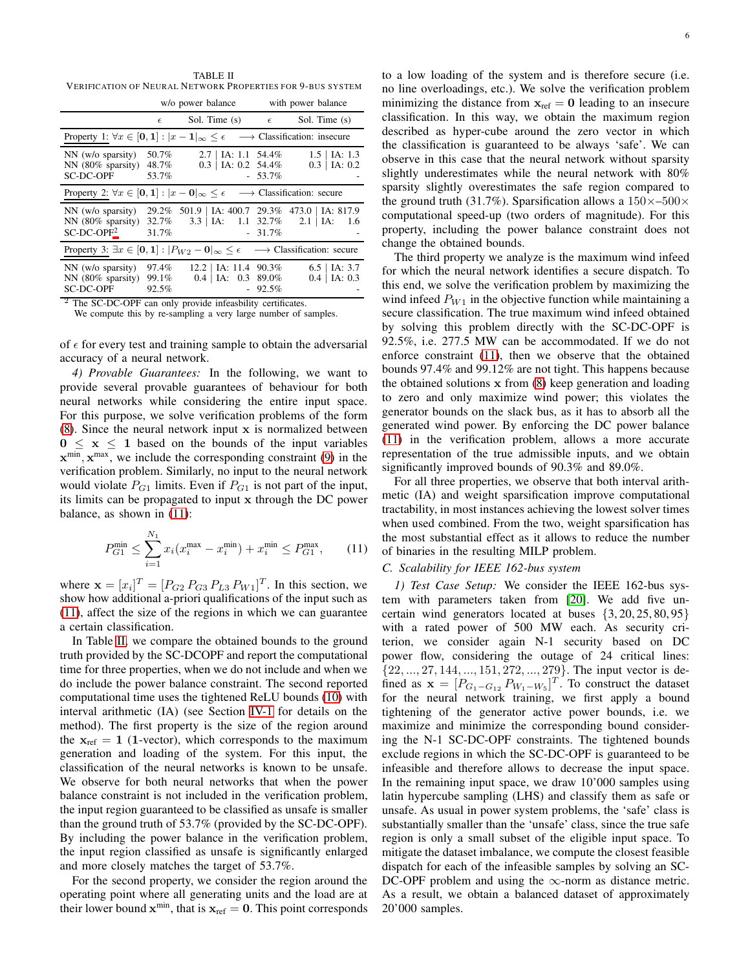<span id="page-5-1"></span>TABLE II VERIFICATION OF NEURAL NETWORK PROPERTIES FOR 9-BUS SYSTEM

|                                                                                                                     |                         | w/o power balance                                  |           | with power balance                                     |  |
|---------------------------------------------------------------------------------------------------------------------|-------------------------|----------------------------------------------------|-----------|--------------------------------------------------------|--|
|                                                                                                                     | $\epsilon$              | Sol. Time (s) $\epsilon$                           |           | Sol. Time (s)                                          |  |
| Property 1: $\forall x \in [0,1] :  x-1 _{\infty} \leq \epsilon$<br>$\longrightarrow$ Classification: insecure      |                         |                                                    |           |                                                        |  |
| $NN$ (w/o sparsity)<br>$NN$ (80% sparsity)<br>SC-DC-OPF                                                             | 50.7%<br>48.7%<br>53.7% | $2.7$   IA: 1.1 54.4%<br>$0.3$   IA: 0.2 54.4%     | $-53.7\%$ | $1.5$   IA: 1.3<br>$0.3$   IA: 0.2                     |  |
| Property 2: $\forall x \in [0,1] :  x-0 _{\infty} \leq \epsilon$<br>$\longrightarrow$ Classification: secure        |                         |                                                    |           |                                                        |  |
| $NN$ (w/o sparsity)<br>$NN$ (80% sparsity)<br>$SC-DC-OPF2$                                                          | 32.7%<br>31.7%          | $3.3$   IA: $1.1$ $32.7\%$ $2.1$   IA:             | $-31.7\%$ | 29.2% 501.9   IA: 400.7 29.3% 473.0   IA: 817.9<br>1.6 |  |
| Property 3: $\exists x \in [0,1] :  P_{W2} - 0 _{\infty} \leq \epsilon$<br>$\longrightarrow$ Classification: secure |                         |                                                    |           |                                                        |  |
| $NN$ (w/o sparsity)<br>$NN$ (80% sparsity)<br>SC-DC-OPF                                                             | 97.4%<br>99.1%<br>92.5% | $12.2$   IA: 11.4 90.3%<br>$0.4$   IA: $0.3$ 89.0% | 92.5%     | $6.5$   IA: 3.7<br>$0.4$   IA: 0.3                     |  |

The SC-DC-OPF can only provide infeasbility certificates.

We compute this by re-sampling a very large number of samples.

of  $\epsilon$  for every test and training sample to obtain the adversarial accuracy of a neural network.

*4) Provable Guarantees:* In the following, we want to provide several provable guarantees of behaviour for both neural networks while considering the entire input space. For this purpose, we solve verification problems of the form [\(8\)](#page-2-4). Since the neural network input x is normalized between  $0 \leq x \leq 1$  based on the bounds of the input variables  $\mathbf{x}^{\min}, \mathbf{x}^{\max}$ , we include the corresponding constraint [\(9\)](#page-2-8) in the verification problem. Similarly, no input to the neural network would violate  $P_{G1}$  limits. Even if  $P_{G1}$  is not part of the input, its limits can be propagated to input x through the DC power balance, as shown in [\(11\)](#page-5-0):

$$
P_{G1}^{\min} \le \sum_{i=1}^{N_1} x_i (x_i^{\max} - x_i^{\min}) + x_i^{\min} \le P_{G1}^{\max}, \qquad (11)
$$

where  $\mathbf{x} = [x_i]^T = [P_{G2} P_{G3} P_{L3} P_{W1}]^T$ . In this section, we show how additional a-priori qualifications of the input such as [\(11\)](#page-5-0), affect the size of the regions in which we can guarantee a certain classification.

In Table [II,](#page-5-1) we compare the obtained bounds to the ground truth provided by the SC-DCOPF and report the computational time for three properties, when we do not include and when we do include the power balance constraint. The second reported computational time uses the tightened ReLU bounds [\(10\)](#page-3-5) with interval arithmetic (IA) (see Section [IV-1](#page-3-1) for details on the method). The first property is the size of the region around the  $x_{ref} = 1$  (1-vector), which corresponds to the maximum generation and loading of the system. For this input, the classification of the neural networks is known to be unsafe. We observe for both neural networks that when the power balance constraint is not included in the verification problem, the input region guaranteed to be classified as unsafe is smaller than the ground truth of 53.7% (provided by the SC-DC-OPF). By including the power balance in the verification problem, the input region classified as unsafe is significantly enlarged and more closely matches the target of 53.7%.

For the second property, we consider the region around the operating point where all generating units and the load are at their lower bound  $\mathbf{x}^{\min}$ , that is  $\mathbf{x}_{\text{ref}} = \mathbf{0}$ . This point corresponds to a low loading of the system and is therefore secure (i.e. no line overloadings, etc.). We solve the verification problem minimizing the distance from  $x_{ref} = 0$  leading to an insecure classification. In this way, we obtain the maximum region described as hyper-cube around the zero vector in which the classification is guaranteed to be always 'safe'. We can observe in this case that the neural network without sparsity slightly underestimates while the neural network with 80% sparsity slightly overestimates the safe region compared to the ground truth (31.7%). Sparsification allows a  $150\times-500\times$ computational speed-up (two orders of magnitude). For this property, including the power balance constraint does not change the obtained bounds.

The third property we analyze is the maximum wind infeed for which the neural network identifies a secure dispatch. To this end, we solve the verification problem by maximizing the wind infeed  $P_{W1}$  in the objective function while maintaining a secure classification. The true maximum wind infeed obtained by solving this problem directly with the SC-DC-OPF is 92.5%, i.e. 277.5 MW can be accommodated. If we do not enforce constraint [\(11\)](#page-5-0), then we observe that the obtained bounds 97.4% and 99.12% are not tight. This happens because the obtained solutions  $x$  from  $(8)$  keep generation and loading to zero and only maximize wind power; this violates the generator bounds on the slack bus, as it has to absorb all the generated wind power. By enforcing the DC power balance [\(11\)](#page-5-0) in the verification problem, allows a more accurate representation of the true admissible inputs, and we obtain significantly improved bounds of 90.3% and 89.0%.

For all three properties, we observe that both interval arithmetic (IA) and weight sparsification improve computational tractability, in most instances achieving the lowest solver times when used combined. From the two, weight sparsification has the most substantial effect as it allows to reduce the number of binaries in the resulting MILP problem.

# <span id="page-5-0"></span>*C. Scalability for IEEE 162-bus system*

*1) Test Case Setup:* We consider the IEEE 162-bus system with parameters taken from [\[20\]](#page-7-19). We add five uncertain wind generators located at buses  $\{3, 20, 25, 80, 95\}$ with a rated power of 500 MW each. As security criterion, we consider again N-1 security based on DC power flow, considering the outage of 24 critical lines:  $\{22, ..., 27, 144, ..., 151, 272, ..., 279\}$ . The input vector is defined as  $\mathbf{x} = [P_{G_1 - G_{12}} P_{W_1 - W_5}]^T$ . To construct the dataset for the neural network training, we first apply a bound tightening of the generator active power bounds, i.e. we maximize and minimize the corresponding bound considering the N-1 SC-DC-OPF constraints. The tightened bounds exclude regions in which the SC-DC-OPF is guaranteed to be infeasible and therefore allows to decrease the input space. In the remaining input space, we draw 10'000 samples using latin hypercube sampling (LHS) and classify them as safe or unsafe. As usual in power system problems, the 'safe' class is substantially smaller than the 'unsafe' class, since the true safe region is only a small subset of the eligible input space. To mitigate the dataset imbalance, we compute the closest feasible dispatch for each of the infeasible samples by solving an SC-DC-OPF problem and using the  $\infty$ -norm as distance metric. As a result, we obtain a balanced dataset of approximately 20'000 samples.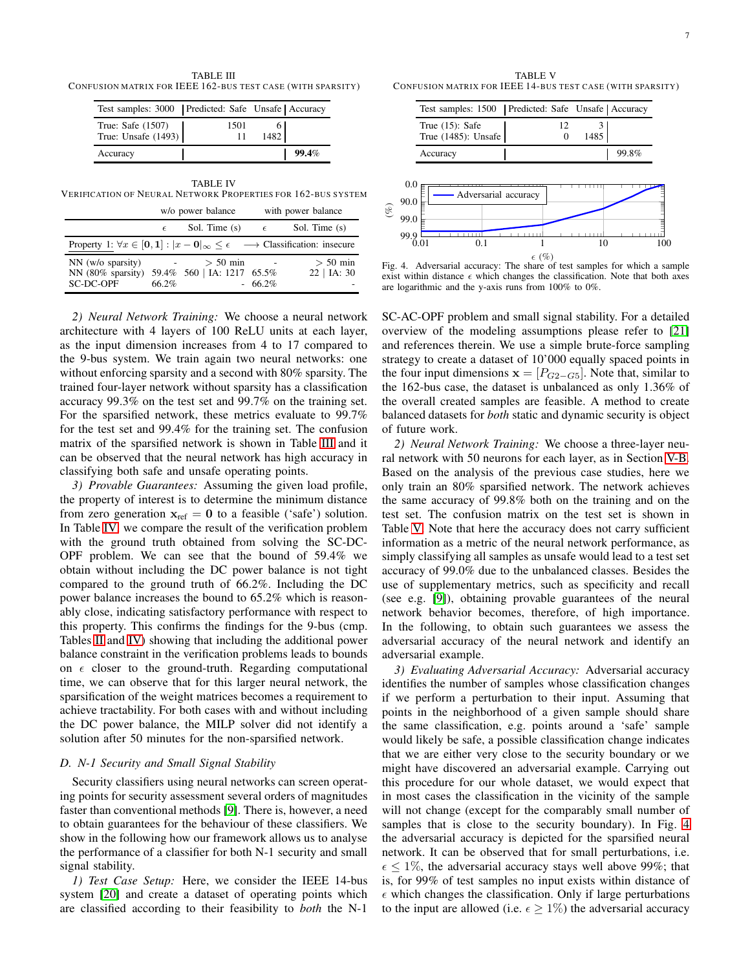<span id="page-6-1"></span>TABLE III CONFUSION MATRIX FOR IEEE 162-BUS TEST CASE (WITH SPARSITY)

| Test samples: 3000   Predicted: Safe Unsafe   Accuracy |            |       |
|--------------------------------------------------------|------------|-------|
| True: Safe $(1507)$<br>True: Unsafe $(1493)$           | 1501<br>11 | 1482  |
| Accuracy                                               |            | 99.4% |

<span id="page-6-2"></span>TABLE IV VERIFICATION OF NEURAL NETWORK PROPERTIES FOR 162-BUS SYSTEM

|                                                                                                             | w/o power balance          |                                          | with power balance |                             |
|-------------------------------------------------------------------------------------------------------------|----------------------------|------------------------------------------|--------------------|-----------------------------|
|                                                                                                             | $\epsilon$                 | Sol. Time (s) $\epsilon$                 |                    | Sol. Time (s)               |
| Property 1: $\forall x \in [0,1] :  x - 0 _{\infty} \leq \epsilon \longrightarrow$ Classification: insecure |                            |                                          |                    |                             |
| $NN$ (w/o sparsity)<br>NN (80% sparsity)<br>SC-DC-OPF                                                       | <b>Contractor</b><br>66.2% | $> 50$ min<br>59.4% 560   IA: 1217 65.5% | $-66.2\%$          | $> 50$ min<br>$22$   IA: 30 |

*2) Neural Network Training:* We choose a neural network architecture with 4 layers of 100 ReLU units at each layer, as the input dimension increases from 4 to 17 compared to the 9-bus system. We train again two neural networks: one without enforcing sparsity and a second with 80% sparsity. The trained four-layer network without sparsity has a classification accuracy 99.3% on the test set and 99.7% on the training set. For the sparsified network, these metrics evaluate to 99.7% for the test set and 99.4% for the training set. The confusion matrix of the sparsified network is shown in Table [III](#page-6-1) and it can be observed that the neural network has high accuracy in classifying both safe and unsafe operating points.

*3) Provable Guarantees:* Assuming the given load profile, the property of interest is to determine the minimum distance from zero generation  $x_{ref} = 0$  to a feasible ('safe') solution. In Table [IV,](#page-6-2) we compare the result of the verification problem with the ground truth obtained from solving the SC-DC-OPF problem. We can see that the bound of 59.4% we obtain without including the DC power balance is not tight compared to the ground truth of 66.2%. Including the DC power balance increases the bound to 65.2% which is reasonably close, indicating satisfactory performance with respect to this property. This confirms the findings for the 9-bus (cmp. Tables [II](#page-5-1) and [IV\)](#page-6-2) showing that including the additional power balance constraint in the verification problems leads to bounds on  $\epsilon$  closer to the ground-truth. Regarding computational time, we can observe that for this larger neural network, the sparsification of the weight matrices becomes a requirement to achieve tractability. For both cases with and without including the DC power balance, the MILP solver did not identify a solution after 50 minutes for the non-sparsified network.

### *D. N-1 Security and Small Signal Stability*

Security classifiers using neural networks can screen operating points for security assessment several orders of magnitudes faster than conventional methods [\[9\]](#page-7-2). There is, however, a need to obtain guarantees for the behaviour of these classifiers. We show in the following how our framework allows us to analyse the performance of a classifier for both N-1 security and small signal stability.

*1) Test Case Setup:* Here, we consider the IEEE 14-bus system [\[20\]](#page-7-19) and create a dataset of operating points which are classified according to their feasibility to *both* the N-1

<span id="page-6-3"></span>TABLE V CONFUSION MATRIX FOR IEEE 14-BUS TEST CASE (WITH SPARSITY)



(%)

<span id="page-6-4"></span>Fig. 4. Adversarial accuracy: The share of test samples for which a sample exist within distance  $\epsilon$  which changes the classification. Note that both axes are logarithmic and the y-axis runs from 100% to 0%.

SC-AC-OPF problem and small signal stability. For a detailed overview of the modeling assumptions please refer to [\[21\]](#page-7-20) and references therein. We use a simple brute-force sampling strategy to create a dataset of 10'000 equally spaced points in the four input dimensions  $\mathbf{x} = [P_{G2-G5}]$ . Note that, similar to the 162-bus case, the dataset is unbalanced as only 1.36% of the overall created samples are feasible. A method to create balanced datasets for *both* static and dynamic security is object of future work.

*2) Neural Network Training:* We choose a three-layer neural network with 50 neurons for each layer, as in Section [V-B.](#page-3-2) Based on the analysis of the previous case studies, here we only train an 80% sparsified network. The network achieves the same accuracy of 99.8% both on the training and on the test set. The confusion matrix on the test set is shown in Table [V.](#page-6-3) Note that here the accuracy does not carry sufficient information as a metric of the neural network performance, as simply classifying all samples as unsafe would lead to a test set accuracy of 99.0% due to the unbalanced classes. Besides the use of supplementary metrics, such as specificity and recall (see e.g. [\[9\]](#page-7-2)), obtaining provable guarantees of the neural network behavior becomes, therefore, of high importance. In the following, to obtain such guarantees we assess the adversarial accuracy of the neural network and identify an adversarial example.

<span id="page-6-0"></span>*3) Evaluating Adversarial Accuracy:* Adversarial accuracy identifies the number of samples whose classification changes if we perform a perturbation to their input. Assuming that points in the neighborhood of a given sample should share the same classification, e.g. points around a 'safe' sample would likely be safe, a possible classification change indicates that we are either very close to the security boundary or we might have discovered an adversarial example. Carrying out this procedure for our whole dataset, we would expect that in most cases the classification in the vicinity of the sample will not change (except for the comparably small number of samples that is close to the security boundary). In Fig. [4](#page-6-4) the adversarial accuracy is depicted for the sparsified neural network. It can be observed that for small perturbations, i.e.  $\epsilon \leq 1\%$ , the adversarial accuracy stays well above 99%; that is, for 99% of test samples no input exists within distance of  $\epsilon$  which changes the classification. Only if large perturbations to the input are allowed (i.e.  $\epsilon \geq 1\%$ ) the adversarial accuracy